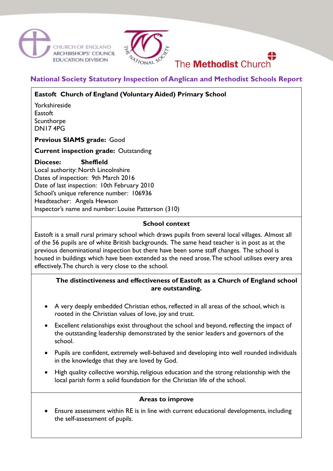





# **National Society Statutory Inspection of Anglican and Methodist Schools Report**

# **Eastoft Church of England (Voluntary Aided) Primary School**

Yorkshireside **Eastoft** Scunthorpe DN17 4PG

**Previous SIAMS grade:** Good

**Current inspection grade:** Outstanding

# **Diocese: Sheffield**

Local authority: North Lincolnshire Dates of inspection: 9th March 2016 Date of last inspection: 10th February 2010 School's unique reference number: 106936 Headteacher: Angela Hewson Inspector's name and number: Louise Patterson (310)

#### **School context**

Eastoft is a small rural primary school which draws pupils from several local villages. Almost all of the 56 pupils are of white British backgrounds. The same head teacher is in post as at the previous denominational inspection but there have been some staff changes. The school is housed in buildings which have been extended as the need arose. The school utilises every area effectively. The church is very close to the school.

# **The distinctiveness and effectiveness of Eastoft as a Church of England school are outstanding.**

- A very deeply embedded Christian ethos, reflected in all areas of the school, which is rooted in the Christian values of love, joy and trust.
- Excellent relationships exist throughout the school and beyond, reflecting the impact of the outstanding leadership demonstrated by the senior leaders and governors of the school.
- Pupils are confident, extremely well-behaved and developing into well rounded individuals in the knowledge that they are loved by God.
- High quality collective worship, religious education and the strong relationship with the local parish form a solid foundation for the Christian life of the school.

#### **Areas to improve**

 Ensure assessment within RE is in line with current educational developments, including the self-assessment of pupils.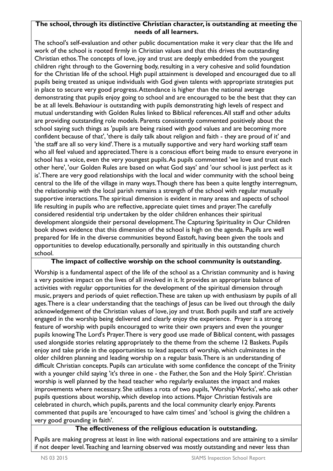#### **The school, through its distinctive Christian character, is outstanding at meeting the needs of all learners.**

The school's self-evaluation and other public documentation make it very clear that the life and work of the school is rooted firmly in Christian values and that this drives the outstanding Christian ethos. The concepts of love, joy and trust are deeply embedded from the youngest children right through to the Governing body, resulting in a very cohesive and solid foundation for the Christian life of the school. High pupil attainment is developed and encouraged due to all pupils being treated as unique individuals with God given talents with appropriate strategies put in place to secure very good progress. Attendance is higher than the national average demonstrating that pupils enjoy going to school and are encouraged to be the best that they can be at all levels. Behaviour is outstanding with pupils demonstrating high levels of respect and mutual understanding with Golden Rules linked to Biblical references. All staff and other adults are providing outstanding role models. Parents consistently commented positively about the school saying such things as 'pupils are being raised with good values and are becoming more confident because of that', 'there is daily talk about religion and faith - they are proud of it' and 'the staff are all so very kind'. There is a mutually supportive and very hard working staff team who all feel valued and appreciated. There is a conscious effort being made to ensure everyone in school has a voice, even the very youngest pupils. As pupils commented 'we love and trust each other here', 'our Golden Rules are based on what God says' and 'our school is just perfect as it is'. There are very good relationships with the local and wider community with the school being central to the life of the village in many ways. Though there has been a quite lengthy interregnum, the relationship with the local parish remains a strength of the school with regular mutually supportive interactions. The spiritual dimension is evident in many areas and aspects of school life resulting in pupils who are reflective, appreciate quiet times and prayer. The carefully considered residential trip undertaken by the older children enhances their spiritual development alongside their personal development. The Capturing Spirituality in Our Children book shows evidence that this dimension of the school is high on the agenda. Pupils are well prepared for life in the diverse communities beyond Eastoft, having been given the tools and opportunities to develop educationally, personally and spiritually in this outstanding church school.

# **The impact of collective worship on the school community is outstanding.**

Worship is a fundamental aspect of the life of the school as a Christian community and is having a very positive impact on the lives of all involved in it. It provides an appropriate balance of activities with regular opportunities for the development of the spiritual dimension through music, prayers and periods of quiet reflection. These are taken up with enthusiasm by pupils of all ages. There is a clear understanding that the teachings of Jesus can be lived out through the daily acknowledgement of the Christian values of love, joy and trust. Both pupils and staff are actively engaged in the worship being delivered and clearly enjoy the experience. Prayer is a strong feature of worship with pupils encouraged to write their own prayers and even the younger pupils knowing The Lord's Prayer. There is very good use made of Biblical content, with passages used alongside stories relating appropriately to the theme from the scheme 12 Baskets. Pupils enjoy and take pride in the opportunities to lead aspects of worship, which culminates in the older children planning and leading worship on a regular basis. There is an understanding of difficult Christian concepts. Pupils can articulate with some confidence the concept of the Trinity with a younger child saying 'it's three in one - the Father, the Son and the Holy Spirit'. Christian worship is well planned by the head teacher who regularly evaluates the impact and makes improvements where necessary. She utilises a rota of two pupils, 'Worship Works', who ask other pupils questions about worship, which develop into actions. Major Christian festivals are celebrated in church, which pupils, parents and the local community clearly enjoy. Parents commented that pupils are 'encouraged to have calm times' and 'school is giving the children a very good grounding in faith'.

# **The effectiveness of the religious education is outstanding.**

Pupils are making progress at least in line with national expectations and are attaining to a similar if not deeper level. Teaching and learning observed was mostly outstanding and never less than